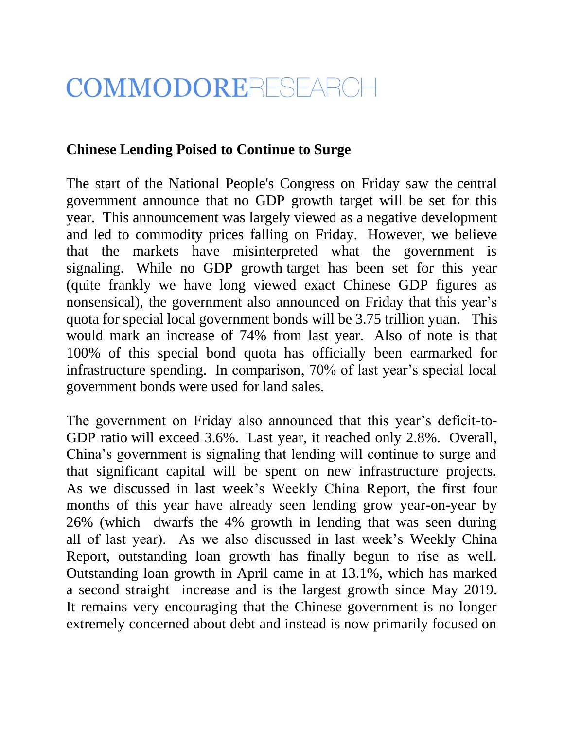## COMMODORERESEARCH

## **Chinese Lending Poised to Continue to Surge**

The start of the National People's Congress on Friday saw the central government announce that no GDP growth target will be set for this year. This announcement was largely viewed as a negative development and led to commodity prices falling on Friday. However, we believe that the markets have misinterpreted what the government is signaling. While no GDP growth target has been set for this year (quite frankly we have long viewed exact Chinese GDP figures as nonsensical), the government also announced on Friday that this year's quota for special local government bonds will be 3.75 trillion yuan. This would mark an increase of 74% from last year. Also of note is that 100% of this special bond quota has officially been earmarked for infrastructure spending. In comparison, 70% of last year's special local government bonds were used for land sales.

The government on Friday also announced that this year's deficit-to-GDP ratio will exceed 3.6%. Last year, it reached only 2.8%. Overall, China's government is signaling that lending will continue to surge and that significant capital will be spent on new infrastructure projects. As we discussed in last week's Weekly China Report, the first four months of this year have already seen lending grow year-on-year by 26% (which dwarfs the 4% growth in lending that was seen during all of last year). As we also discussed in last week's Weekly China Report, outstanding loan growth has finally begun to rise as well. Outstanding loan growth in April came in at 13.1%, which has marked a second straight increase and is the largest growth since May 2019. It remains very encouraging that the Chinese government is no longer extremely concerned about debt and instead is now primarily focused on